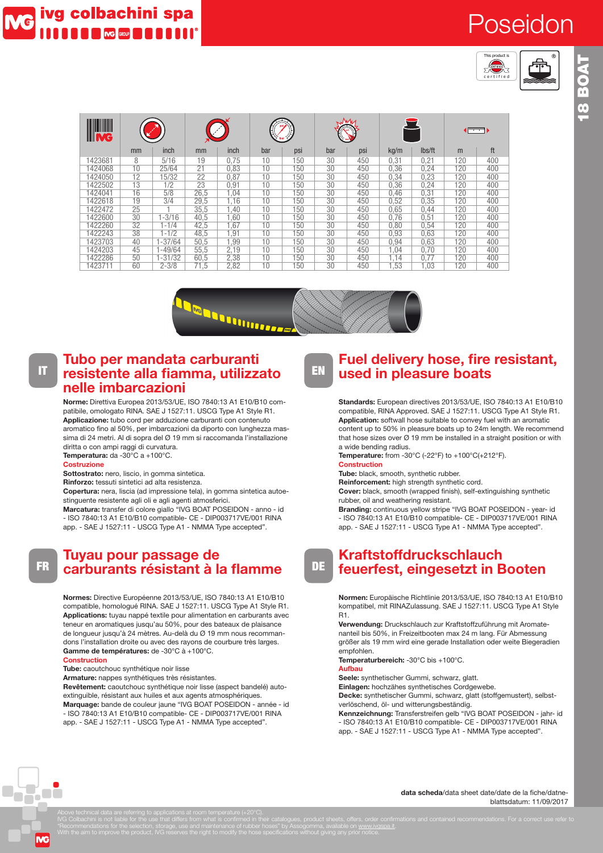# Poseidon



| code                             | inside diameter |             | outside diameter |      | working pressure |     | burst pressure |     | weight nominal |        | length max            |     |
|----------------------------------|-----------------|-------------|------------------|------|------------------|-----|----------------|-----|----------------|--------|-----------------------|-----|
| <u> Helling</u><br><b>III MC</b> |                 |             |                  |      |                  |     | J₩             |     |                |        | $\blacksquare$ سنسنسا |     |
|                                  | mm              | inch        | mm               | inch | bar              | psi | bar            | psi | kq/m           | lbs/ft | m                     | ft  |
| 1423681                          | 8               | 5/16        | 19               | 0.75 | 10               | 150 | 30             | 450 | 0.31           | 0,21   | 120                   | 400 |
| 1424068                          | 10              | 25/64       | 21               | 0.83 | 10               | 150 | 30             | 450 | 0.36           | 0,24   | 120                   | 400 |
| 1424050                          | 12              | 15/32       | 22               | 0,87 | 10               | 150 | 30             | 450 | 0.34           | 0,23   | 120                   | 400 |
| 1422502                          | 13              | 1/2         | 23               | 0.91 | 10               | 150 | 30             | 450 | 0.36           | 0.24   | 120                   | 400 |
| 1424041                          | 16              | 5/8         | 26.5             | .04  | 10               | 150 | 30             | 450 | 0.46           | 0.31   | 120                   | 400 |
| 1422618                          | 19              | 3/4         | 29,5             | 1.16 | 10               | 150 | 30             | 450 | 0.52           | 0,35   | 120                   | 400 |
| 1422472                          | 25              |             | 35.5             | .40  | 10               | 150 | 30             | 450 | 0.65           | 0,44   | 120                   | 400 |
| 1422600                          | 30              | $-3/16$     | 40.5             | .60  | 10               | 150 | 30             | 450 | 0.76           | 0,51   | 120                   | 400 |
| 1422260                          | 32              | $1 - 1/4$   | 42,5             | .67  | 10               | 150 | 30             | 450 | 0.80           | 0,54   | 120                   | 400 |
| 1422243                          | 38              | $1 - 1/2$   | 48,5             | .91  | 10               | 150 | 30             | 450 | 0.93           | 0.63   | 120                   | 400 |
| 1423703                          | 40              | $1 - 37/64$ | 50,5             | .99  | 10               | 150 | 30             | 450 | 0.94           | 0.63   | 120                   | 400 |
| 1424203                          | 45              | $-49/64$    | 55.5             | 2.19 | 10               | 150 | 30             | 450 | 1.04           | 0.70   | 120                   | 400 |
| 1422286                          | 50              | $1 - 31/32$ | 60.5             | 2.38 | 10               | 150 | 30             | 450 | 1.14           | 0.77   | 120                   | 400 |
| 1423711                          | 60              | $2 - 3/8$   | 71.5             | 2.82 | 10               | 150 | 30             | 450 | .53            | l.O3   | 120                   | 400 |



## **Tubo per mandata carburanti**<br> **IT** resistente alla fiamma utilizz **resistente alla fiamma, utilizzato nelle imbarcazioni**

**Norme:** Direttiva Europea 2013/53/UE, ISO 7840:13 A1 E10/B10 compatibile, omologato RINA. SAE J 1527:11. USCG Type A1 Style R1. **Applicazione:** tubo cord per adduzione carburanti con contenuto aromatico fino al 50%, per imbarcazioni da diporto con lunghezza massima di 24 metri. Al di sopra del Ø 19 mm si raccomanda l'installazione diritta o con ampi raggi di curvatura. **Temperatura:** da -30°C a +100°C.

#### **Costruzione**

**Sottostrato:** nero, liscio, in gomma sintetica.

**Rinforzo:** tessuti sintetici ad alta resistenza.

**Copertura:** nera, liscia (ad impressione tela), in gomma sintetica autoestinguente resistente agli oli e agli agenti atmosferici.

**Marcatura:** transfer di colore giallo "IVG BOAT POSEIDON - anno - id - ISO 7840:13 A1 E10/B10 compatible- CE - DIP003717VE/001 RINA app. - SAE J 1527:11 - USCG Type A1 - NMMA Type accepted".

## FR **Tuyau pour passage de carburants résistant à la flamme**

**Normes:** Directive Européenne 2013/53/UE, ISO 7840:13 A1 E10/B10 compatible, homologué RINA. SAE J 1527:11. USCG Type A1 Style R1. **Applications:** tuyau nappé textile pour alimentation en carburants avec teneur en aromatiques jusqu'au 50%, pour des bateaux de plaisance de longueur jusqu'à 24 mètres. Au-delà du Ø 19 mm nous recommandons l'installation droite ou avec des rayons de courbure très larges. **Gamme de températures:** de -30°C à +100°C.

#### **Construction**

**Tube:** caoutchouc synthétique noir lisse

**Armature:** nappes synthétiques très résistantes.

**Revêtement:** caoutchouc synthétique noir lisse (aspect bandelé) autoextinguible, résistant aux huiles et aux agents atmosphériques. **Marquage:** bande de couleur jaune "IVG BOAT POSEIDON - année - id - ISO 7840:13 A1 E10/B10 compatible- CE - DIP003717VE/001 RINA app. - SAE J 1527:11 - USCG Type A1 - NMMA Type accepted".

## **EN Fuel delivery hose, fire resistant, used in pleasure boats**

**Standards:** European directives 2013/53/UE, ISO 7840:13 A1 E10/B10 compatible, RINA Approved. SAE J 1527:11. USCG Type A1 Style R1. **Application:** softwall hose suitable to convey fuel with an aromatic content up to 50% in pleasure boats up to 24m length. We recommend that hose sizes over  $\varnothing$  19 mm be installed in a straight position or with a wide bending radius.

**Temperature:** from -30°C (-22°F) to +100°C(+212°F).

#### **Construction**

**Tube:** black, smooth, synthetic rubber.

**Reinforcement:** high strength synthetic cord.

**Cover:** black, smooth (wrapped finish), self-extinguishing synthetic rubber, oil and weathering resistant.

**Branding:** continuous yellow stripe "IVG BOAT POSEIDON - year- id - ISO 7840:13 A1 E10/B10 compatible- CE - DIP003717VE/001 RINA app. - SAE J 1527:11 - USCG Type A1 - NMMA Type accepted".

#### DE **Kraftstoffdruckschlauch feuerfest, eingesetzt in Booten**

**Normen:** Europäische Richtlinie 2013/53/UE, ISO 7840:13 A1 E10/B10 kompatibel, mit RINAZulassung. SAE J 1527:11. USCG Type A1 Style R1.

**Verwendung:** Druckschlauch zur Kraftstoffzuführung mit Aromatenanteil bis 50%, in Freizeitbooten max 24 m lang. Für Abmessung größer als 19 mm wird eine gerade Installation oder weite Biegeradien empfohlen.

**Temperaturbereich:** -30°C bis +100°C.

### **Aufbau**

**Seele:** synthetischer Gummi, schwarz, glatt. **Einlagen:** hochzähes synthetisches Cordgewebe.

**Decke:** synthetischer Gummi, schwarz, glatt (stoffgemustert), selbst-

verlöschend, öl- und witterungsbeständig. **Kennzeichnung:** Transferstreifen gelb "IVG BOAT POSEIDON - jahr- id

- ISO 7840:13 A1 E10/B10 compatible- CE - DIP003717VE/001 RINA app. - SAE J 1527:11 - USCG Type A1 - NMMA Type accepted".

> **data scheda**/data sheet date/date de la fiche/datneblattsdatum: 11/09/2017

**ING**